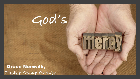# God's

**Grace Norwalk,** Pastor Oscar Chavez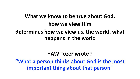# **What we know to be true about God, how we view Him determines how we view us, the world, what happens in the world**

## •**AW Tozer wrote :**

**"What a person thinks about God is the most important thing about that person"**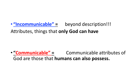• **"Incommunicable" =** beyond description!!! Attributes, things that **only God can have**

• **"Communicable" =** Communicable attributes of God are those that **humans can also possess.**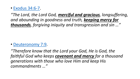• [Exodus 34:6-7](https://biblia.com/bible/nkjv/Exod%2034.6-7).

*"The Lord, the Lord God, merciful and gracious, longsuffering, and abounding in goodness and truth, keeping mercy for thousands, forgiving iniquity and transgression and sin …"*

• [Deuteronomy 7:9](https://biblia.com/bible/nkjv/Deut%207.9).

*"Therefore know that the Lord your God, He is God, the faithful God who keeps covenant and mercy for a thousand generations with those who love Him and keep His commandments …"*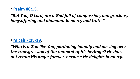#### • **[Psalm 86:15](https://biblia.com/bible/nkjv/Ps%2086.15).**

*"But You, O Lord, are a God full of compassion, and gracious, longsuffering and abundant in mercy and truth."*

#### • **[Micah 7:18-19](https://biblia.com/bible/nkjv/Micah%207.18-19).**

*"Who is a God like You, pardoning iniquity and passing over the transgression of the remnant of His heritage? He does not retain His anger forever, because He delights in mercy.*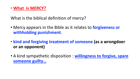• **What is MERCY?** 

What is the biblical definition of mercy?

- Mercy appears in the Bible as it relates to **forgiveness or withholding punishment**.
- **kind and forgiving treatment of someone (as a wrongdoer or an opponent)**
- A kind sympathetic disposition : **willingness to forgive, spare someone guilty…**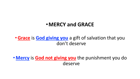## •**MERCY and GRACE**

### •**Grace** is **God giving you** a gift of salvation that you don't deserve

• **Mercy** is **God not giving you** the punishment you do deserve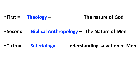• **First = Theology – The nature of God**

• **Second = Biblical Anthropology – The Nature of Men**

• **Tirth = Soteriology - Understanding salvation of Men**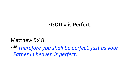#### •**GOD = is Perfect.**

Matthew 5:48

• **<sup>48</sup>** *Therefore you shall be perfect, just as your Father in heaven is perfect.*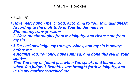#### • **MEN = Is broken**

- Psalm 51
- *Have mercy upon me, O God, According to Your lovingkindness; According to the multitude of Your tender mercies, Blot out my transgressions.*
	- *2 Wash me thoroughly from my iniquity, and cleanse me from my sin.*
- *3 For I acknowledge my transgressions, and my sin is always before me.*

*4 Against You, You only, have I sinned, and done this evil in Your sight—*

*That You may be found just when You speak, and blameless when You judge. 5 Behold, I was brought forth in iniquity, and in sin my mother conceived me.*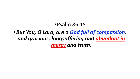#### •Psalm 86:15

## •*But You, O Lord, are a God full of compassion, and gracious, longsuffering and abundant in mercy and truth.*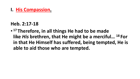**I. His Compassion.**

#### **Heb. 2:17-18**

• **<sup>17</sup> Therefore, in all things He had to be made like** *His* **brethren, that He might be a merciful… <sup>18</sup> For in that He Himself has suffered, being tempted, He is able to aid those who are tempted.**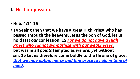**I. His Compassion.**

- **Heb. 4:14-16**
- **14 Seeing then that we have a great High Priest who has passed through the heavens, Jesus the Son of God, let us hold fast** *our* **confession. 15** *For we do not have a High Priest who cannot sympathize with our weaknesses,* **but was in all** *points* **tempted as** *we are, yet* **without sin. 16 Let us therefore come boldly to the throne of grace,**  *that we may obtain mercy and find grace to help in time of need***.**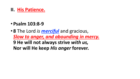### **II. His Patience.**

• **Psalm 103:8-9**

• **8** The Lord *is merciful* and gracious, *Slow to anger, and abounding in mercy.* **9 He will not always strive** *with us,* **Nor will He keep** *His anger* **forever.**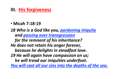### **III. His forgiveness**

• **Micah 7:18-19**

*18 Who is a God like you, pardoning iniquity and passing over transgression for the remnant of his inheritance? He does not retain his anger forever, because he delights in steadfast love. 19 He will again have compassion on us; he will tread our iniquities underfoot. You will cast all our sins into the depths of the sea.*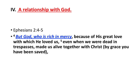#### **IV. A relationship with God.**

- Ephesians 2:4-5
- **<sup>4</sup>** *But God, who is rich in mercy***, because of His great love with which He loved us, <sup>5</sup> even when we were dead in trespasses, made us alive together with Christ (by grace you have been saved),**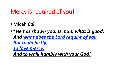## Mercy is required of you!

- **Micah 6:8**
- *<sup>8</sup>He has shown you, O man, what is good; And what does the Lord require of you But to do justly, To love mercy,*

*And to walk humbly with your God?*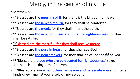# Mercy, in the center of my life!

- Matthew 5.
- **<sup>3</sup>** "Blessed are the **poor in spirit**, for theirs is the kingdom of heaven.
- **<sup>4</sup>** "Blessed are **those who mourn,** for they shall be comforted.
- **<sup>5</sup>** "Blessed are **the meek**, for they shall inherit the earth.
- **<sup>6</sup>** "Blessed are **those who hunger and thirst for righteousness**, for they shall be satisfied.
- **<sup>7</sup> "Blessed are the merciful, for they shall receive mercy**.
- **<sup>8</sup>** "Blessed are **the pure in heart**, for they shall see God.
- <sup>9</sup> "Blessed are **the peacemakers**, for they shall be called sons<sup>[\[a](https://www.biblegateway.com/passage/?search=Matthew+5&version=ESV#fen-ESV-23244a)]</sup> of God.
- **<sup>10</sup>** "Blessed are **those who are persecuted for righteousness'** sake, for theirs is the kingdom of heaven.
- **<sup>11</sup>** "Blessed are you **when others revile you and persecute you** and utter all kinds of evil against you falsely on my account.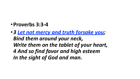- •**Proverbs 3:3-4**
- •*3 Let not mercy and truth forsake you; Bind them around your neck, Write them on the tablet of your heart, 4 And so find favor and high esteem In the sight of God and man.*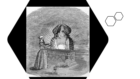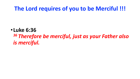## **The Lord requires of you to be Merciful !!!**

## •**Luke 6:36** *<sup>36</sup> Therefore be merciful, just as your Father also is merciful.*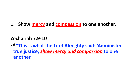**1. Show mercy and compassion to one another.** 

#### **Zechariah 7:9-10**

• **<sup>9</sup> "This is what the Lord Almighty said: 'Administer true justice;** *show mercy and compassion* **to one another.**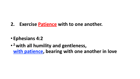#### **2. Exercise Patience with to one another.**

• **Ephesians 4:2**

### • **<sup>2</sup>with all humility and gentleness, with patience, bearing with one another in love**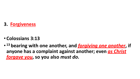**3. Forgiveness**

- **Colossians 3:13**
- **<sup>13</sup> bearing with one another, and** *forgiving one another***, if anyone has a complaint against another; even** *as Christ forgave you***, so you also** *must do.*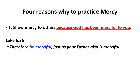• **1. Show mercy to others because God has been merciful to you.**

**Luke 6:36**

*<sup>36</sup> Therefore be merciful, just as your Father also is merciful.*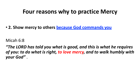• **2. Show mercy to others because God commands you**

Micah 6:8

*"The LORD has told you what is good, and this is what he requires of you: to do what is right, to love mercy, and to walk humbly with your God"* .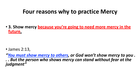• **3. Show mercy because you're going to need more mercy in the future.**

• James 2:13,

*"You must show mercy to others, or God won't show mercy to you . . . But the person who shows mercy can stand without fear at the judgment"*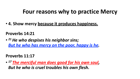• **4. Show mercy because it produces happiness.**

**Proverbs 14:21**

• *<sup>21</sup>He who despises his neighbor sins; But he who has mercy on the poor, happy is he.*

**Proverbs 11:17**

• *<sup>17</sup> The merciful man does good for his own soul, But he who is cruel troubles his own flesh.*